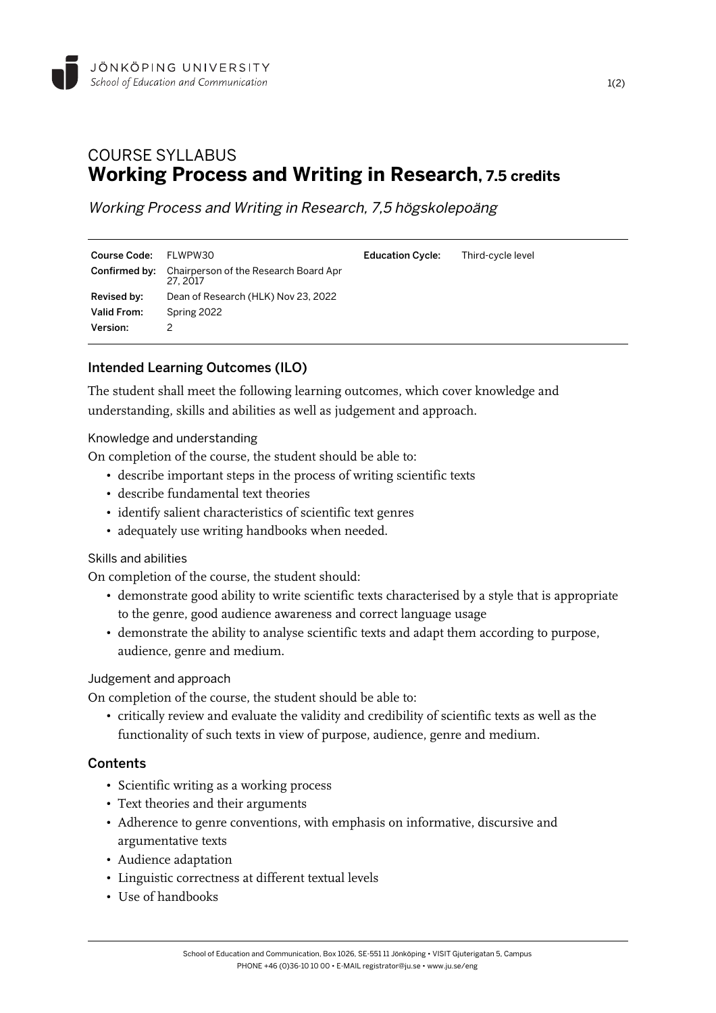

# COURSE SYLLABUS **Working Process and Writing in Research, 7.5 credits**

Working Process and Writing in Research, 7,5 högskolepoäng

| <b>Course Code:</b> | FLWPW30                                                                | <b>Education Cycle:</b> | Third-cycle level |
|---------------------|------------------------------------------------------------------------|-------------------------|-------------------|
|                     | <b>Confirmed by:</b> Chairperson of the Research Board Apr<br>27, 2017 |                         |                   |
| Revised by:         | Dean of Research (HLK) Nov 23, 2022                                    |                         |                   |
| <b>Valid From:</b>  | Spring 2022                                                            |                         |                   |
| Version:            |                                                                        |                         |                   |

# Intended Learning Outcomes (ILO)

The student shall meet the following learning outcomes, which cover knowledge and understanding, skills and abilities as well as judgement and approach.

#### Knowledge and understanding

On completion of the course, the student should be able to:

- describe important steps in the process of writing scientific texts
- describe fundamental text theories
- identify salient characteristics of scientific text genres
- adequately use writing handbooks when needed.

#### Skills and abilities

On completion of the course, the student should:

- demonstrate good ability to write scientific texts characterised by a style that is appropriate to the genre, good audience awareness and correct language usage
- demonstrate the ability to analyse scientific texts and adapt them according to purpose, audience, genre and medium.

#### Judgement and approach

On completion of the course, the student should be able to:

• critically review and evaluate the validity and credibility of scientific texts as well as the functionality of such texts in view of purpose, audience, genre and medium.

# **Contents**

- Scientific writing as a working process
- Text theories and their arguments
- Adherence to genre conventions, with emphasis on informative, discursive and argumentative texts
- Audience adaptation
- Linguistic correctness at different textual levels
- Use of handbooks